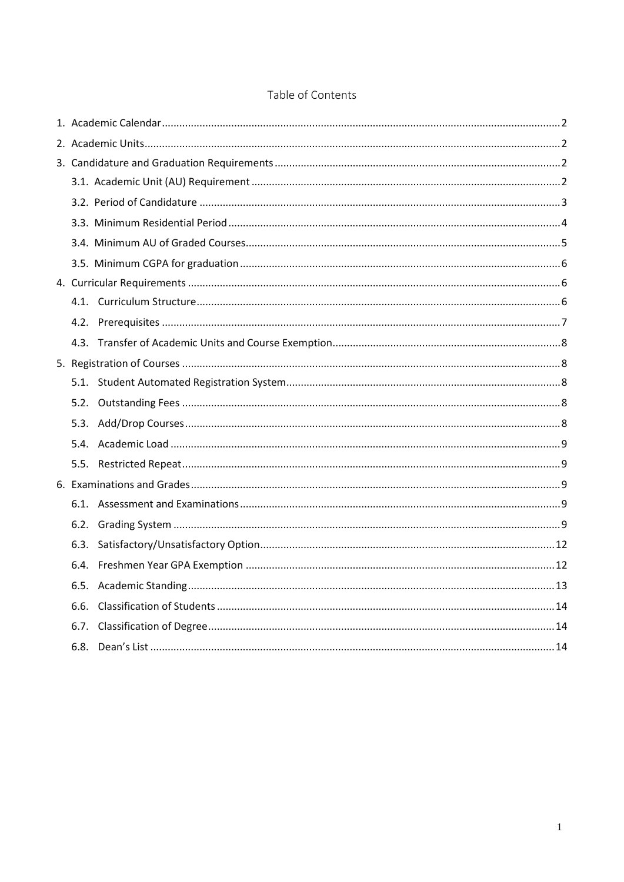| 6.6. |  |
|------|--|
|      |  |
|      |  |

# Table of Contents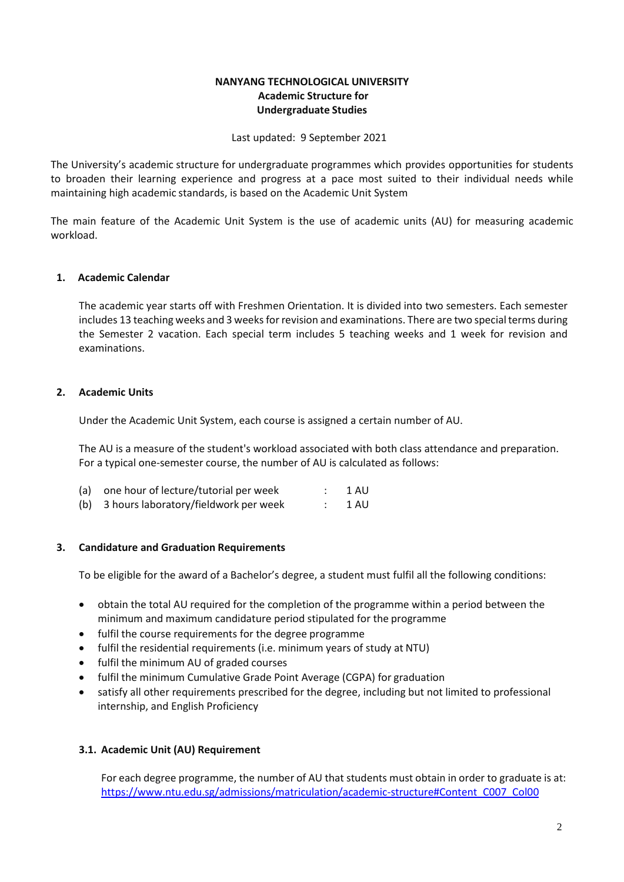# **NANYANG TECHNOLOGICAL UNIVERSITY Academic Structure for Undergraduate Studies**

Last updated: 9 September 2021

<span id="page-1-3"></span>The University's academic structure for undergraduate programmes which provides opportunities for students to broaden their learning experience and progress at a pace most suited to their individual needs while maintaining high academic standards, is based on the Academic Unit System

The main feature of the Academic Unit System is the use of academic units (AU) for measuring academic workload.

# <span id="page-1-0"></span>**1. Academic Calendar**

The academic year starts off with Freshmen Orientation. It is divided into two semesters. Each semester includes 13 teaching weeks and 3 weeks for revision and examinations. There are two special terms during the Semester 2 vacation. Each special term includes 5 teaching weeks and 1 week for revision and examinations.

# <span id="page-1-1"></span>**2. Academic Units**

Under the Academic Unit System, each course is assigned a certain number of AU.

The AU is a measure of the student's workload associated with both class attendance and preparation. For a typical one-semester course, the number of AU is calculated as follows:

| (a) one hour of lecture/tutorial per week | 1 AU |
|-------------------------------------------|------|
| (b) 3 hours laboratory/fieldwork per week | 1 AU |

#### <span id="page-1-2"></span>**3. Candidature and Graduation Requirements**

To be eligible for the award of a Bachelor's degree, a student must fulfil all the following conditions:

- obtain the total AU required for the completion of the programme within a period between the minimum and maximum candidature period stipulated for the programme
- fulfil the course requirements for the degree programme
- fulfil the residential requirements (i.e. minimum years of study at NTU)
- fulfil the minimum AU of graded courses
- fulfil the minimum Cumulative Grade Point Average (CGPA) for graduation
- satisfy all other requirements prescribed for the degree, including but not limited to professional internship, and English Proficiency

#### <span id="page-1-4"></span>**3.1. Academic Unit (AU) Requirement**

For each degree programme, the number of AU that students must obtain in order to graduate is at: [https://www.ntu.edu.sg/admissions/matriculation/academic-structure#Content\\_C007\\_Col00](https://www.ntu.edu.sg/admissions/matriculation/academic-structure#Content_C007_Col00)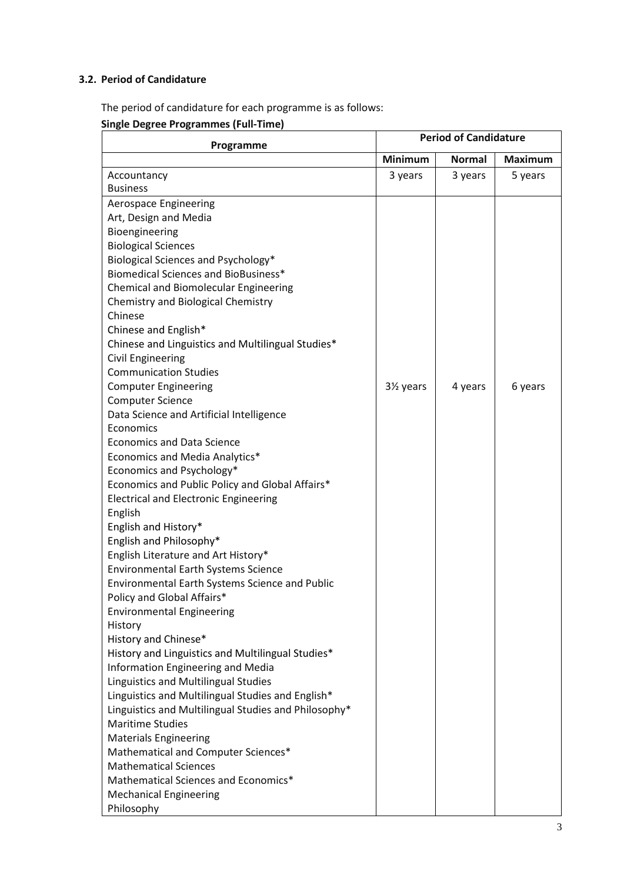# <span id="page-2-0"></span>**3.2. Period of Candidature**

The period of candidature for each programme is as follows:

**Single Degree Programmes (Full-Time)**

| Programme                                                                       |                | <b>Period of Candidature</b> |                |
|---------------------------------------------------------------------------------|----------------|------------------------------|----------------|
|                                                                                 | <b>Minimum</b> | <b>Normal</b>                | <b>Maximum</b> |
| Accountancy                                                                     | 3 years        | 3 years                      | 5 years        |
| <b>Business</b>                                                                 |                |                              |                |
| Aerospace Engineering                                                           |                |                              |                |
| Art, Design and Media                                                           |                |                              |                |
| Bioengineering                                                                  |                |                              |                |
| <b>Biological Sciences</b>                                                      |                |                              |                |
| Biological Sciences and Psychology*                                             |                |                              |                |
| <b>Biomedical Sciences and BioBusiness*</b>                                     |                |                              |                |
| Chemical and Biomolecular Engineering                                           |                |                              |                |
| Chemistry and Biological Chemistry                                              |                |                              |                |
| Chinese                                                                         |                |                              |                |
| Chinese and English*                                                            |                |                              |                |
| Chinese and Linguistics and Multilingual Studies*                               |                |                              |                |
| <b>Civil Engineering</b>                                                        |                |                              |                |
| <b>Communication Studies</b>                                                    |                |                              |                |
| <b>Computer Engineering</b>                                                     | 3½ years       | 4 years                      | 6 years        |
| <b>Computer Science</b>                                                         |                |                              |                |
| Data Science and Artificial Intelligence                                        |                |                              |                |
| Economics                                                                       |                |                              |                |
| <b>Economics and Data Science</b>                                               |                |                              |                |
| Economics and Media Analytics*                                                  |                |                              |                |
| Economics and Psychology*                                                       |                |                              |                |
| Economics and Public Policy and Global Affairs*                                 |                |                              |                |
| <b>Electrical and Electronic Engineering</b>                                    |                |                              |                |
| English                                                                         |                |                              |                |
| English and History*                                                            |                |                              |                |
| English and Philosophy*                                                         |                |                              |                |
| English Literature and Art History*                                             |                |                              |                |
| <b>Environmental Earth Systems Science</b>                                      |                |                              |                |
| Environmental Earth Systems Science and Public                                  |                |                              |                |
| Policy and Global Affairs*                                                      |                |                              |                |
| <b>Environmental Engineering</b>                                                |                |                              |                |
| History                                                                         |                |                              |                |
| History and Chinese*                                                            |                |                              |                |
| History and Linguistics and Multilingual Studies*                               |                |                              |                |
| Information Engineering and Media                                               |                |                              |                |
| Linguistics and Multilingual Studies                                            |                |                              |                |
| Linguistics and Multilingual Studies and English*                               |                |                              |                |
| Linguistics and Multilingual Studies and Philosophy*<br><b>Maritime Studies</b> |                |                              |                |
|                                                                                 |                |                              |                |
| <b>Materials Engineering</b>                                                    |                |                              |                |
| Mathematical and Computer Sciences*                                             |                |                              |                |
| <b>Mathematical Sciences</b>                                                    |                |                              |                |
| Mathematical Sciences and Economics*                                            |                |                              |                |
| <b>Mechanical Engineering</b>                                                   |                |                              |                |
| Philosophy                                                                      |                |                              |                |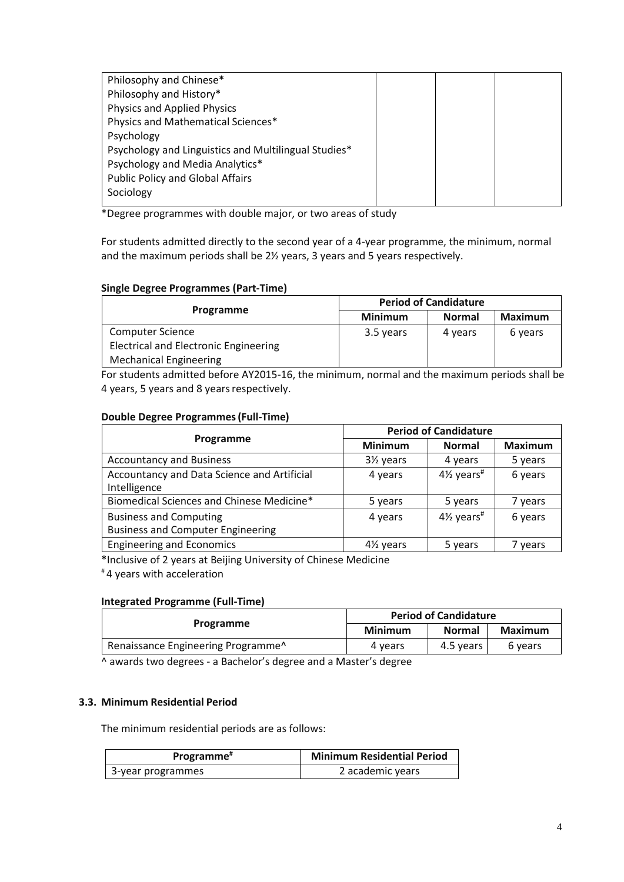| Philosophy and Chinese*                              |  |  |
|------------------------------------------------------|--|--|
| Philosophy and History*                              |  |  |
| Physics and Applied Physics                          |  |  |
| Physics and Mathematical Sciences*                   |  |  |
| Psychology                                           |  |  |
| Psychology and Linguistics and Multilingual Studies* |  |  |
| Psychology and Media Analytics*                      |  |  |
| <b>Public Policy and Global Affairs</b>              |  |  |
| Sociology                                            |  |  |
|                                                      |  |  |

\*Degree programmes with double major, or two areas of study

For students admitted directly to the second year of a 4-year programme, the minimum, normal and the maximum periods shall be 2½ years, 3 years and 5 years respectively.

# **Single Degree Programmes (Part-Time)**

|                                              | <b>Period of Candidature</b> |               |                |
|----------------------------------------------|------------------------------|---------------|----------------|
| Programme                                    | <b>Minimum</b>               | <b>Normal</b> | <b>Maximum</b> |
| <b>Computer Science</b>                      | 3.5 years                    | 4 years       | 6 years        |
| <b>Electrical and Electronic Engineering</b> |                              |               |                |
| <b>Mechanical Engineering</b>                |                              |               |                |

For students admitted before AY2015-16, the minimum, normal and the maximum periods shall be 4 years, 5 years and 8 years respectively.

# **Double Degree Programmes (Full-Time)**

|                                                                           | <b>Period of Candidature</b> |                          |                |
|---------------------------------------------------------------------------|------------------------------|--------------------------|----------------|
| Programme                                                                 | <b>Minimum</b>               | <b>Normal</b>            | <b>Maximum</b> |
| <b>Accountancy and Business</b>                                           | 3½ years                     | 4 years                  | 5 years        |
| Accountancy and Data Science and Artificial<br>Intelligence               | 4 years                      | $4\%$ years <sup>#</sup> | 6 years        |
| Biomedical Sciences and Chinese Medicine*                                 | 5 years                      | 5 years                  | 7 years        |
| <b>Business and Computing</b><br><b>Business and Computer Engineering</b> | 4 years                      | $4\%$ years <sup>#</sup> | 6 years        |
| <b>Engineering and Economics</b>                                          | 4 <sup>1/2</sup> years       | 5 years                  | 7 years        |

\*Inclusive of 2 years at Beijing University of Chinese Medicine

# 4 years with acceleration

# **Integrated Programme (Full-Time)**

| Programme                                      | <b>Period of Candidature</b> |               |         |
|------------------------------------------------|------------------------------|---------------|---------|
|                                                | <b>Minimum</b>               | <b>Normal</b> | Maximum |
| Renaissance Engineering Programme <sup>^</sup> | 4 years                      | 4.5 years     | 6 years |

^ awards two degrees - a Bachelor's degree and a Master's degree

#### <span id="page-3-0"></span>**3.3. Minimum Residential Period**

The minimum residential periods are as follows:

| Programme <sup>#</sup> | <b>Minimum Residential Period</b> |
|------------------------|-----------------------------------|
| 3-year programmes      | 2 academic years                  |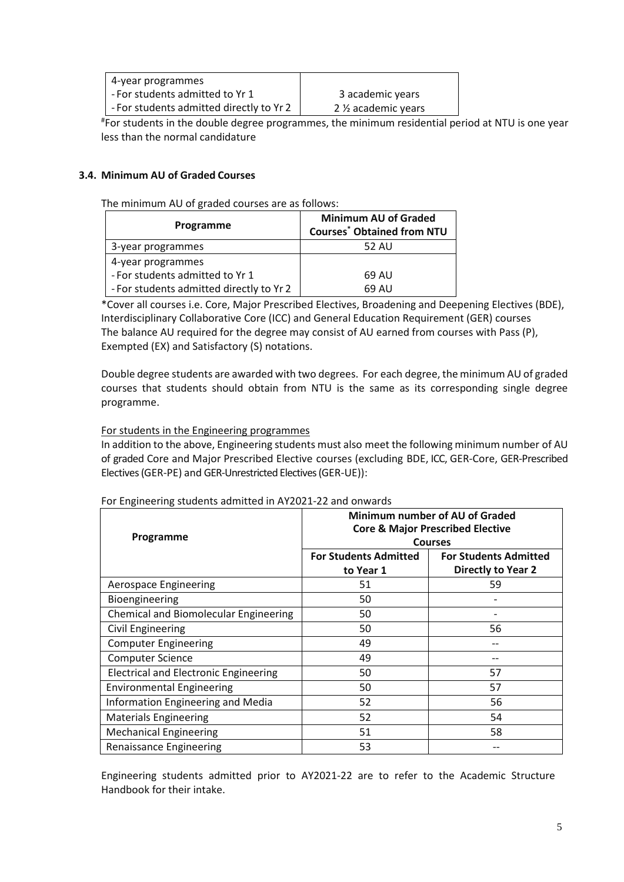| 4-year programmes                        |                                  |
|------------------------------------------|----------------------------------|
| - For students admitted to Yr 1          | 3 academic years                 |
| - For students admitted directly to Yr 2 | 2 1/ <sub>2</sub> academic years |

# For students in the double degree programmes, the minimum residential period at NTU is one year less than the normal candidature

# <span id="page-4-0"></span>**3.4. Minimum AU of Graded Courses**

The minimum AU of graded courses are as follows:

| Programme                                | <b>Minimum AU of Graded</b><br><b>Courses<sup>*</sup> Obtained from NTU</b> |
|------------------------------------------|-----------------------------------------------------------------------------|
| 3-year programmes                        | 52 AU                                                                       |
| 4-year programmes                        |                                                                             |
| - For students admitted to Yr 1          | 69 AU                                                                       |
| - For students admitted directly to Yr 2 | 69 AU                                                                       |

\*Cover all courses i.e. Core, Major Prescribed Electives, Broadening and Deepening Electives (BDE), Interdisciplinary Collaborative Core (ICC) and General Education Requirement (GER) courses The balance AU required for the degree may consist of AU earned from courses with Pass (P), Exempted (EX) and Satisfactory (S) notations.

Double degree students are awarded with two degrees. For each degree, the minimum AU of graded courses that students should obtain from NTU is the same as its corresponding single degree programme.

# For students in the Engineering programmes

In addition to the above, Engineering students must also meet the following minimum number of AU of graded Core and Major Prescribed Elective courses (excluding BDE, ICC, GER-Core, GER-Prescribed Electives (GER-PE) and GER-Unrestricted Electives (GER-UE)):

| Programme                                    | Minimum number of AU of Graded<br><b>Core &amp; Major Prescribed Elective</b><br><b>Courses</b> |                                                    |  |
|----------------------------------------------|-------------------------------------------------------------------------------------------------|----------------------------------------------------|--|
|                                              | <b>For Students Admitted</b><br>to Year 1                                                       | <b>For Students Admitted</b><br>Directly to Year 2 |  |
| <b>Aerospace Engineering</b>                 | 51                                                                                              | 59                                                 |  |
| Bioengineering                               | 50                                                                                              |                                                    |  |
| Chemical and Biomolecular Engineering        | 50                                                                                              |                                                    |  |
| <b>Civil Engineering</b>                     | 50                                                                                              | 56                                                 |  |
| <b>Computer Engineering</b>                  | 49                                                                                              |                                                    |  |
| <b>Computer Science</b>                      | 49                                                                                              |                                                    |  |
| <b>Electrical and Electronic Engineering</b> | 50                                                                                              | 57                                                 |  |
| <b>Environmental Engineering</b>             | 50                                                                                              | 57                                                 |  |
| Information Engineering and Media            | 52                                                                                              | 56                                                 |  |
| <b>Materials Engineering</b>                 | 52                                                                                              | 54                                                 |  |
| <b>Mechanical Engineering</b>                | 51                                                                                              | 58                                                 |  |
| <b>Renaissance Engineering</b>               | 53                                                                                              |                                                    |  |

#### For Engineering students admitted in AY2021-22 and onwards

Engineering students admitted prior to AY2021-22 are to refer to the Academic Structure Handbook for their intake.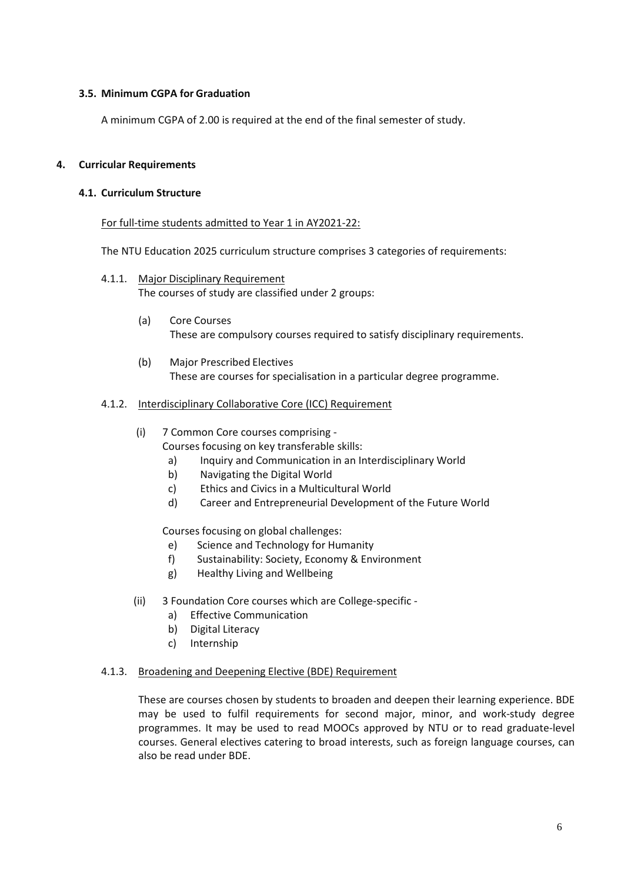# <span id="page-5-0"></span>**3.5. Minimum CGPA for Graduation**

A minimum CGPA of 2.00 is required at the end of the final semester of study.

# <span id="page-5-2"></span><span id="page-5-1"></span>**4. Curricular Requirements**

### **4.1. Curriculum Structure**

#### For full-time students admitted to Year 1 in AY2021-22:

The NTU Education 2025 curriculum structure comprises 3 categories of requirements:

- 4.1.1. Major Disciplinary Requirement The courses of study are classified under 2 groups:
	- (a) Core Courses These are compulsory courses required to satisfy disciplinary requirements.
	- (b) Major Prescribed Electives These are courses for specialisation in a particular degree programme.

# 4.1.2. Interdisciplinary Collaborative Core (ICC) Requirement

- (i) 7 Common Core courses comprising Courses focusing on key transferable skills:
	- a) Inquiry and Communication in an Interdisciplinary World
	- b) Navigating the Digital World
	- c) Ethics and Civics in a Multicultural World
	- d) Career and Entrepreneurial Development of the Future World

Courses focusing on global challenges:

- e) Science and Technology for Humanity
- f) Sustainability: Society, Economy & Environment
- g) Healthy Living and Wellbeing
- (ii) 3 Foundation Core courses which are College-specific
	- a) Effective Communication
	- b) Digital Literacy
	- c) Internship

#### 4.1.3. Broadening and Deepening Elective (BDE) Requirement

These are courses chosen by students to broaden and deepen their learning experience. BDE may be used to fulfil requirements for second major, minor, and work-study degree programmes. It may be used to read MOOCs approved by NTU or to read graduate-level courses. General electives catering to broad interests, such as foreign language courses, can also be read under BDE.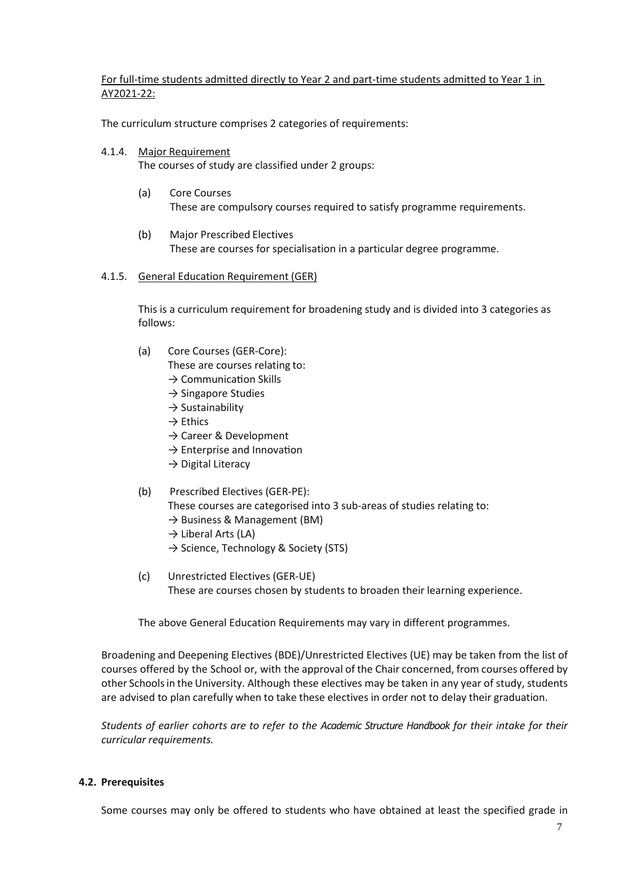For full-time students admitted directly to Year 2 and part-time students admitted to Year 1 in AY2021-22:

The curriculum structure comprises 2 categories of requirements:

4.1.4. Major Requirement

The courses of study are classified under 2 groups:

- (a) Core Courses These are compulsory courses required to satisfy programme requirements.
- (b) Major Prescribed Electives These are courses for specialisation in a particular degree programme.

#### 4.1.5. General Education Requirement (GER)

This is a curriculum requirement for broadening study and is divided into 3 categories as follows:

(a) Core Courses (GER-Core):

These are courses relating to:

- $\rightarrow$  Communication Skills
- $\rightarrow$  Singapore Studies
- $\rightarrow$  Sustainability
- $\rightarrow$  Ethics
- → Career & Development
- $\rightarrow$  Enterprise and Innovation
- $\rightarrow$  Digital Literacy
- (b) Prescribed Electives (GER-PE):
	- These courses are categorised into 3 sub-areas of studies relating to:
	- $\rightarrow$  Business & Management (BM)
	- $\rightarrow$  Liberal Arts (LA)
	- → Science, Technology & Society (STS)
- (c) Unrestricted Electives (GER-UE) These are courses chosen by students to broaden their learning experience.

The above General Education Requirements may vary in different programmes.

Broadening and Deepening Electives (BDE)/Unrestricted Electives (UE) may be taken from the list of courses offered by the School or, with the approval of the Chair concerned, from courses offered by other Schools in the University. Although these electives may be taken in any year of study, students are advised to plan carefully when to take these electives in order not to delay their graduation.

*Students of earlier cohorts are to refer to the Academic Structure Handbook for their intake for their curricular requirements.* 

#### <span id="page-6-0"></span>**4.2. Prerequisites**

Some courses may only be offered to students who have obtained at least the specified grade in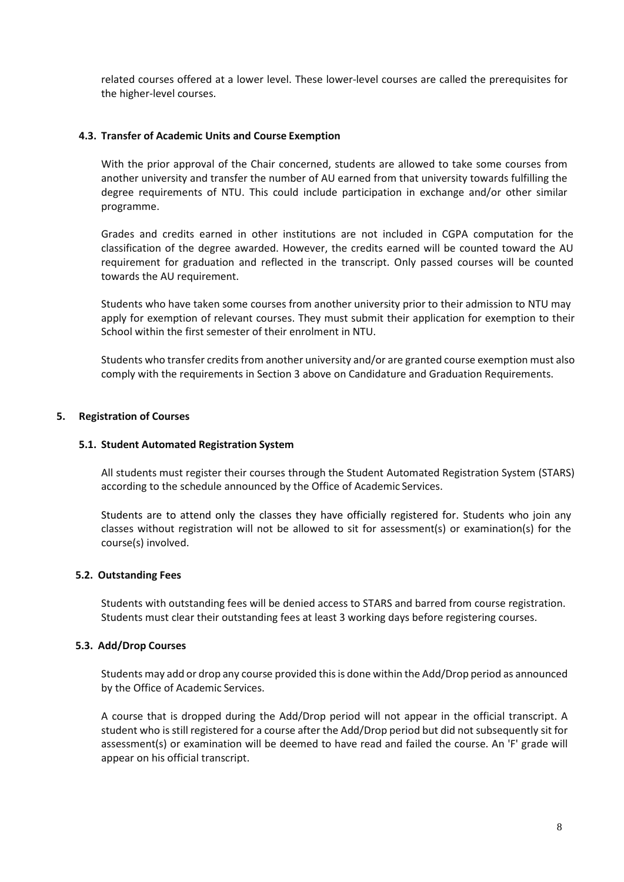related courses offered at a lower level. These lower-level courses are called the prerequisites for the higher-level courses.

### <span id="page-7-0"></span>**4.3. Transfer of Academic Units and Course Exemption**

With the prior approval of the Chair concerned, students are allowed to take some courses from another university and transfer the number of AU earned from that university towards fulfilling the degree requirements of NTU. This could include participation in exchange and/or other similar programme.

Grades and credits earned in other institutions are not included in CGPA computation for the classification of the degree awarded. However, the credits earned will be counted toward the AU requirement for graduation and reflected in the transcript. Only passed courses will be counted towards the AU requirement.

Students who have taken some courses from another university prior to their admission to NTU may apply for exemption of relevant courses. They must submit their application for exemption to their School within the first semester of their enrolment in NTU.

Students who transfer credits from another university and/or are granted course exemption must also comply with the requirements in Section 3 above on Candidature and Graduation Requirements.

# <span id="page-7-2"></span><span id="page-7-1"></span>**5. Registration of Courses**

#### **5.1. Student Automated Registration System**

All students must register their courses through the Student Automated Registration System (STARS) according to the schedule announced by the Office of Academic Services.

Students are to attend only the classes they have officially registered for. Students who join any classes without registration will not be allowed to sit for assessment(s) or examination(s) for the course(s) involved.

#### <span id="page-7-4"></span><span id="page-7-3"></span>**5.2. Outstanding Fees**

Students with outstanding fees will be denied access to STARS and barred from course registration. Students must clear their outstanding fees at least 3 working days before registering courses.

#### <span id="page-7-5"></span>**5.3. Add/Drop Courses**

Students may add or drop any course provided this is done within the Add/Drop period as announced by the Office of Academic Services.

A course that is dropped during the Add/Drop period will not appear in the official transcript. A student who is still registered for a course after the Add/Drop period but did not subsequently sit for assessment(s) or examination will be deemed to have read and failed the course. An 'F' grade will appear on his official transcript.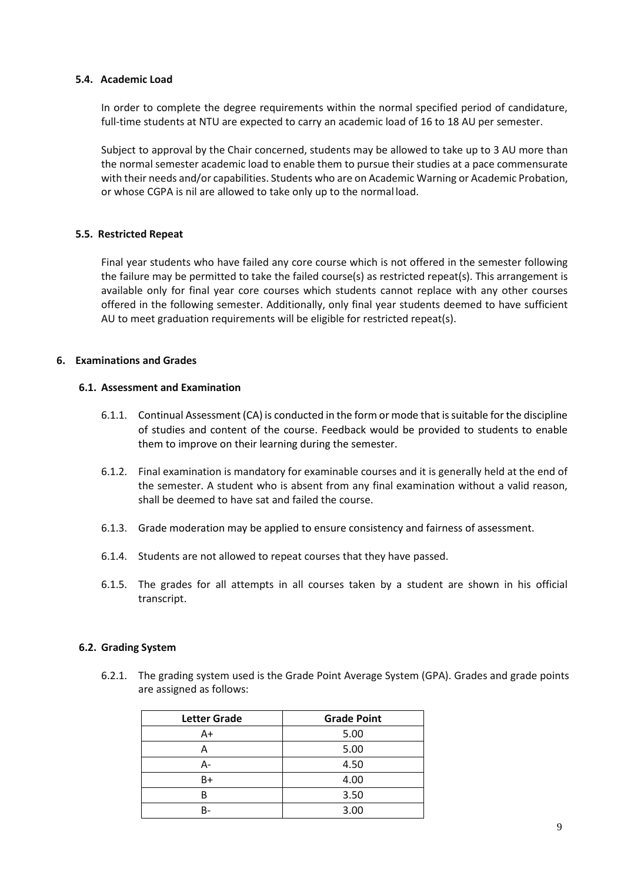#### <span id="page-8-0"></span>**5.4. Academic Load**

In order to complete the degree requirements within the normal specified period of candidature, full-time students at NTU are expected to carry an academic load of 16 to 18 AU per semester.

Subject to approval by the Chair concerned, students may be allowed to take up to 3 AU more than the normal semester academic load to enable them to pursue their studies at a pace commensurate with their needs and/or capabilities. Students who are on Academic Warning or Academic Probation, or whose CGPA is nil are allowed to take only up to the normal load.

#### <span id="page-8-1"></span>**5.5. Restricted Repeat**

Final year students who have failed any core course which is not offered in the semester following the failure may be permitted to take the failed course(s) as restricted repeat(s). This arrangement is available only for final year core courses which students cannot replace with any other courses offered in the following semester. Additionally, only final year students deemed to have sufficient AU to meet graduation requirements will be eligible for restricted repeat(s).

#### <span id="page-8-3"></span><span id="page-8-2"></span>**6. Examinations and Grades**

#### **6.1. Assessment and Examination**

- 6.1.1. Continual Assessment (CA) is conducted in the form or mode that is suitable for the discipline of studies and content of the course. Feedback would be provided to students to enable them to improve on their learning during the semester.
- 6.1.2. Final examination is mandatory for examinable courses and it is generally held at the end of the semester. A student who is absent from any final examination without a valid reason, shall be deemed to have sat and failed the course.
- 6.1.3. Grade moderation may be applied to ensure consistency and fairness of assessment.
- 6.1.4. Students are not allowed to repeat courses that they have passed.
- 6.1.5. The grades for all attempts in all courses taken by a student are shown in his official transcript.

#### <span id="page-8-4"></span>**6.2. Grading System**

6.2.1. The grading system used is the Grade Point Average System (GPA). Grades and grade points are assigned as follows:

| <b>Letter Grade</b> | <b>Grade Point</b> |
|---------------------|--------------------|
| A+                  | 5.00               |
|                     | 5.00               |
|                     | 4.50               |
| B+                  | 4.00               |
| B                   | 3.50               |
|                     | 3.00               |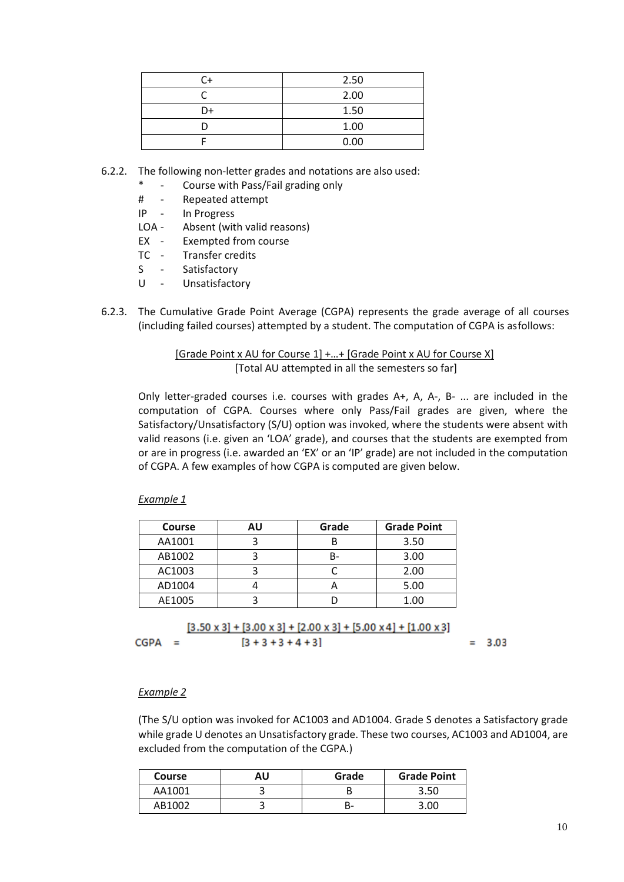| C+ | 2.50 |  |
|----|------|--|
|    | 2.00 |  |
| D+ | 1.50 |  |
|    | 1.00 |  |
|    | 0.00 |  |

- 6.2.2. The following non-letter grades and notations are also used:
	- Course with Pass/Fail grading only
	- # Repeated attempt
	- IP In Progress
	- LOA Absent (with valid reasons)
	- EX Exempted from course
	- TC Transfer credits
	- S Satisfactory
	- U Unsatisfactory
- 6.2.3. The Cumulative Grade Point Average (CGPA) represents the grade average of all courses (including failed courses) attempted by a student. The computation of CGPA is as follows:

[Grade Point x AU for Course 1] +…+ [Grade Point x AU for Course X] [Total AU attempted in all the semesters so far]

Only letter-graded courses i.e. courses with grades A+, A, A-, B- ... are included in the computation of CGPA. Courses where only Pass/Fail grades are given, where the Satisfactory/Unsatisfactory (S/U) option was invoked, where the students were absent with valid reasons (i.e. given an 'LOA' grade), and courses that the students are exempted from or are in progress (i.e. awarded an 'EX' or an 'IP' grade) are not included in the computation of CGPA. A few examples of how CGPA is computed are given below.

*Example 1*

| <b>Course</b> | ΑU | Grade | <b>Grade Point</b> |
|---------------|----|-------|--------------------|
| AA1001        |    |       | 3.50               |
| AB1002        |    | B-    | 3.00               |
| AC1003        |    |       | 2.00               |
| AD1004        |    |       | 5.00               |
| AE1005        |    |       |                    |

 $[3.50 \times 3] + [3.00 \times 3] + [2.00 \times 3] + [5.00 \times 4] + [1.00 \times 3]$  $[3 + 3 + 3 + 4 + 3]$  $CGPA =$  $= 3.03$ 

#### *Example 2*

(The S/U option was invoked for AC1003 and AD1004. Grade S denotes a Satisfactory grade while grade U denotes an Unsatisfactory grade. These two courses, AC1003 and AD1004, are excluded from the computation of the CGPA.)

| <b>Course</b> | AU | Grade | <b>Grade Point</b> |
|---------------|----|-------|--------------------|
| AA1001        | ◡  |       | 3.50               |
| AB1002        | ت  | n-    | 3.OC               |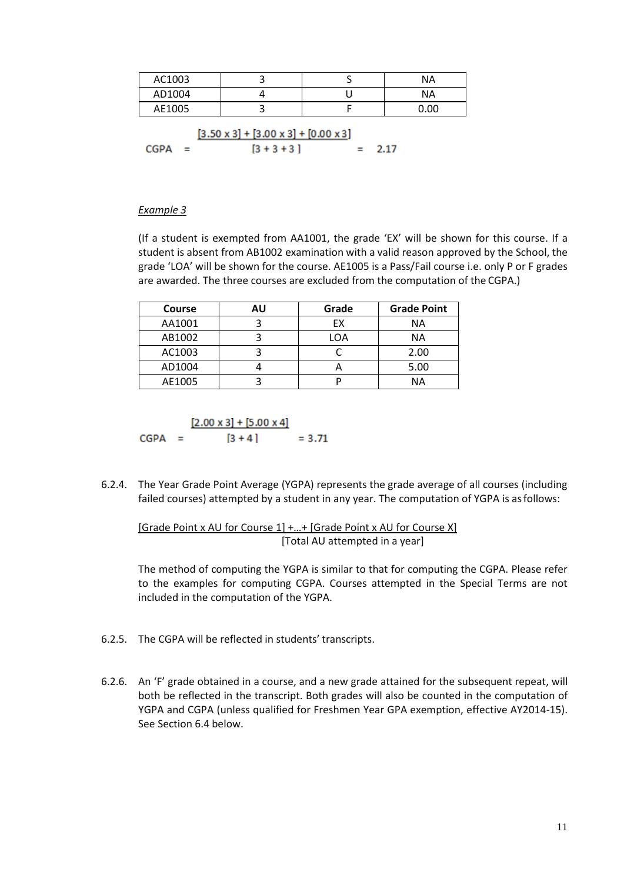| AC1003                                                |  |  | ΝA   |
|-------------------------------------------------------|--|--|------|
| AD1004                                                |  |  | ΝA   |
| AE1005                                                |  |  | 0.00 |
| $[3.50 \times 3] + [3.00 \times 3] + [0.00 \times 3]$ |  |  |      |

| $CGPA =$ |  | $[3 + 3 + 3]$ | $= 2.17$ |
|----------|--|---------------|----------|

#### *Example 3*

(If a student is exempted from AA1001, the grade 'EX' will be shown for this course. If a student is absent from AB1002 examination with a valid reason approved by the School, the grade 'LOA' will be shown for the course. AE1005 is a Pass/Fail course i.e. only P or F grades are awarded. The three courses are excluded from the computation of the CGPA.)

| <b>Course</b> | AU | Grade | <b>Grade Point</b> |
|---------------|----|-------|--------------------|
| AA1001        |    | EX    | ΝA                 |
| AB1002        |    | LOA   | ΝA                 |
| AC1003        |    |       | 2.00               |
| AD1004        |    |       | 5.00               |
| AE1005        |    |       | NΑ                 |

CGPA = 
$$
\frac{[2.00 \times 3] + [5.00 \times 4]}{[3 + 4]} = 3.71
$$

6.2.4. The Year Grade Point Average (YGPA) represents the grade average of all courses (including failed courses) attempted by a student in any year. The computation of YGPA is as follows:

[Grade Point x AU for Course 1] +...+ [Grade Point x AU for Course X] [Total AU attempted in a year]

The method of computing the YGPA is similar to that for computing the CGPA. Please refer to the examples for computing CGPA. Courses attempted in the Special Terms are not included in the computation of the YGPA.

- 6.2.5. The CGPA will be reflected in students' transcripts.
- 6.2.6. An 'F' grade obtained in a course, and a new grade attained for the subsequent repeat, will both be reflected in the transcript. Both grades will also be counted in the computation of YGPA and CGPA (unless qualified for Freshmen Year GPA exemption, effective AY2014-15). See Section 6.4 [below.](#page-12-0)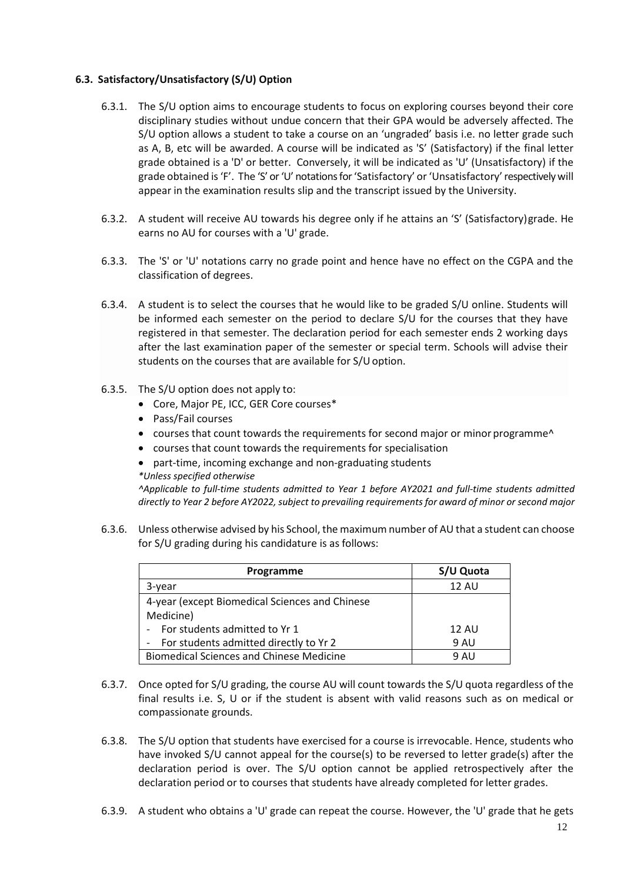# <span id="page-11-0"></span>**6.3. Satisfactory/Unsatisfactory (S/U) Option**

- 6.3.1. The S/U option aims to encourage students to focus on exploring courses beyond their core disciplinary studies without undue concern that their GPA would be adversely affected. The S/U option allows a student to take a course on an 'ungraded' basis i.e. no letter grade such as A, B, etc will be awarded. A course will be indicated as 'S' (Satisfactory) if the final letter grade obtained is a 'D' or better. Conversely, it will be indicated as 'U' (Unsatisfactory) if the grade obtained is 'F'. The 'S' or 'U' notations for 'Satisfactory' or 'Unsatisfactory' respectively will appear in the examination results slip and the transcript issued by the University.
- 6.3.2. A student will receive AU towards his degree only if he attains an 'S' (Satisfactory) grade. He earns no AU for courses with a 'U' grade.
- 6.3.3. The 'S' or 'U' notations carry no grade point and hence have no effect on the CGPA and the classification of degrees.
- 6.3.4. A student is to select the courses that he would like to be graded S/U online. Students will be informed each semester on the period to declare S/U for the courses that they have registered in that semester. The declaration period for each semester ends 2 working days after the last examination paper of the semester or special term. Schools will advise their students on the courses that are available for S/U option.
- 6.3.5. The S/U option does not apply to:
	- Core, Major PE, ICC, GER Core courses\*
	- Pass/Fail courses
	- courses that count towards the requirements for second major or minor programme<sup>^</sup>
	- courses that count towards the requirements for specialisation
	- part-time, incoming exchange and non-graduating students
	- *\*Unless specified otherwise*

*^Applicable to full-time students admitted to Year 1 before AY2021 and full-time students admitted directly to Year 2 before AY2022, subject to prevailing requirements for award of minor or second major* 

6.3.6. Unless otherwise advised by his School, the maximum number of AU that a student can choose for S/U grading during his candidature is as follows:

| Programme                                       | S/U Quota    |
|-------------------------------------------------|--------------|
| 3-year                                          | <b>12 AU</b> |
| 4-year (except Biomedical Sciences and Chinese  |              |
| Medicine)                                       |              |
| For students admitted to Yr 1                   | 12 AU        |
| For students admitted directly to Yr 2          | 9 AU         |
| <b>Biomedical Sciences and Chinese Medicine</b> | 9 AU         |

- 6.3.7. Once opted for S/U grading, the course AU will count towards the S/U quota regardless of the final results i.e. S, U or if the student is absent with valid reasons such as on medical or compassionate grounds.
- 6.3.8. The S/U option that students have exercised for a course is irrevocable. Hence, students who have invoked S/U cannot appeal for the course(s) to be reversed to letter grade(s) after the declaration period is over. The S/U option cannot be applied retrospectively after the declaration period or to courses that students have already completed for letter grades.
- 6.3.9. A student who obtains a 'U' grade can repeat the course. However, the 'U' grade that he gets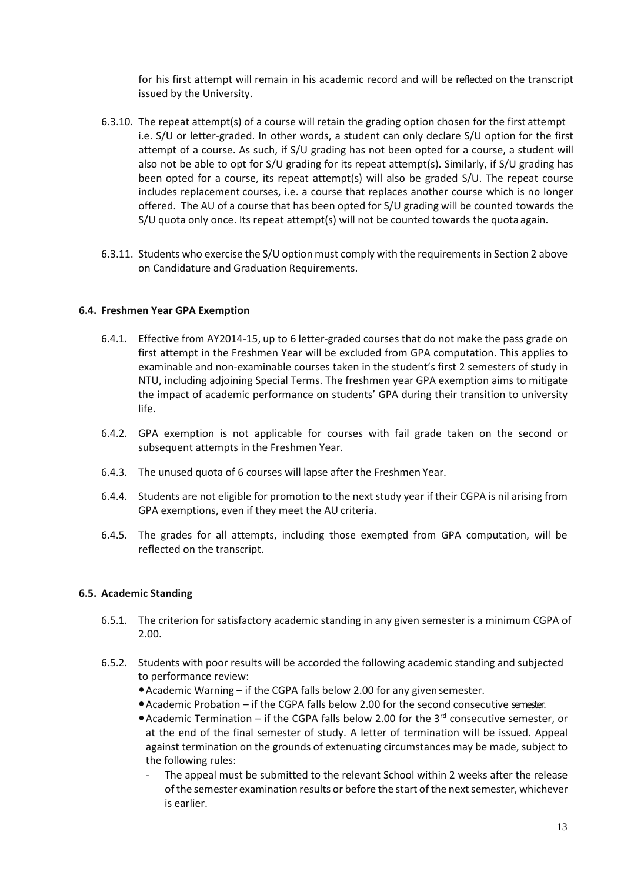for his first attempt will remain in his academic record and will be reflected on the transcript issued by the University.

- 6.3.10. The repeat attempt(s) of a course will retain the grading option chosen for the first attempt i.e. S/U or letter-graded. In other words, a student can only declare S/U option for the first attempt of a course. As such, if S/U grading has not been opted for a course, a student will also not be able to opt for S/U grading for its repeat attempt(s). Similarly, if S/U grading has been opted for a course, its repeat attempt(s) will also be graded S/U. The repeat course includes replacement courses, i.e. a course that replaces another course which is no longer offered. The AU of a course that has been opted for S/U grading will be counted towards the S/U quota only once. Its repeat attempt(s) will not be counted towards the quota again.
- 6.3.11. Students who exercise the S/U option must comply with the requirements in Section [2 above](#page-1-2) on Candidature and Graduation Requirements.

# <span id="page-12-0"></span>**6.4. Freshmen Year GPA Exemption**

- 6.4.1. Effective from AY2014-15, up to 6 letter-graded courses that do not make the pass grade on first attempt in the Freshmen Year will be excluded from GPA computation. This applies to examinable and non-examinable courses taken in the student's first 2 semesters of study in NTU, including adjoining Special Terms. The freshmen year GPA exemption aims to mitigate the impact of academic performance on students' GPA during their transition to university life.
- 6.4.2. GPA exemption is not applicable for courses with fail grade taken on the second or subsequent attempts in the Freshmen Year.
- 6.4.3. The unused quota of 6 courses will lapse after the Freshmen Year.
- 6.4.4. Students are not eligible for promotion to the next study year if their CGPA is nil arising from GPA exemptions, even if they meet the AU criteria.
- 6.4.5. The grades for all attempts, including those exempted from GPA computation, will be reflected on the transcript.

#### <span id="page-12-1"></span>**6.5. Academic Standing**

- 6.5.1. The criterion for satisfactory academic standing in any given semester is a minimum CGPA of 2.00.
- 6.5.2. Students with poor results will be accorded the following academic standing and subjected to performance review:
	- Academic Warning if the CGPA falls below 2.00 for any given semester.
	- Academic Probation if the CGPA falls below 2.00 for the second consecutive semester.
	- Academic Termination if the CGPA falls below 2.00 for the  $3<sup>rd</sup>$  consecutive semester, or at the end of the final semester of study. A letter of termination will be issued. Appeal against termination on the grounds of extenuating circumstances may be made, subject to the following rules:
		- The appeal must be submitted to the relevant School within 2 weeks after the release of the semester examination results or before the start of the next semester, whichever is earlier.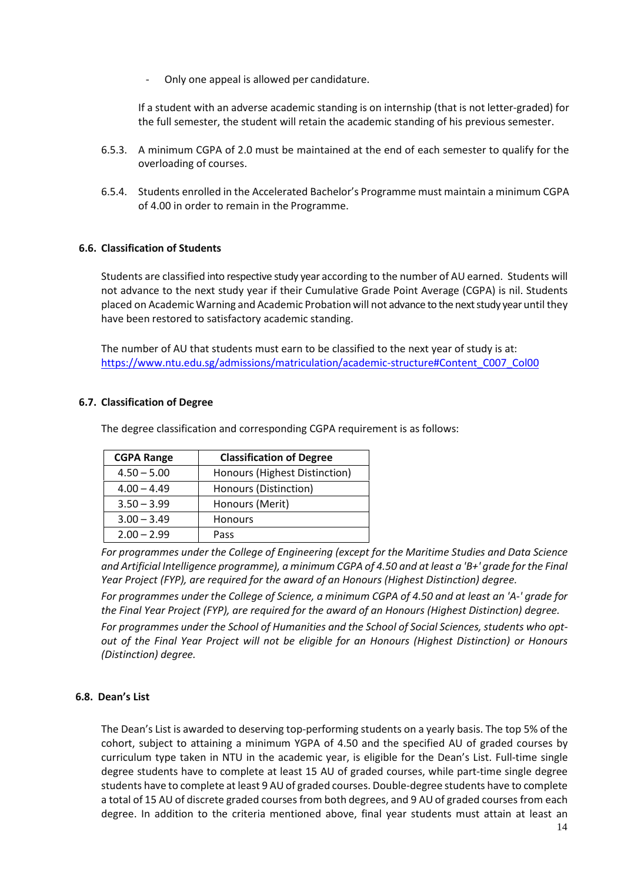- Only one appeal is allowed per candidature.

If a student with an adverse academic standing is on internship (that is not letter-graded) for the full semester, the student will retain the academic standing of his previous semester.

- 6.5.3. A minimum CGPA of 2.0 must be maintained at the end of each semester to qualify for the overloading of courses.
- 6.5.4. Students enrolled in the Accelerated Bachelor's Programme must maintain a minimum CGPA of 4.00 in order to remain in the Programme.

# <span id="page-13-0"></span>**6.6. Classification of Students**

Students are classified into respective study year according to the number of AU earned. Students will not advance to the next study year if their Cumulative Grade Point Average (CGPA) is nil. Students placed on Academic Warning and Academic Probation will not advance to the next study year until they have been restored to satisfactory academic standing.

The number of AU that students must earn to be classified to the next year of study is at: [https://www.ntu.edu.sg/admissions/matriculation/academic-structure#Content\\_C007\\_Col00](https://www.ntu.edu.sg/admissions/matriculation/academic-structure#Content_C007_Col00)

# <span id="page-13-1"></span>**6.7. Classification of Degree**

The degree classification and corresponding CGPA requirement is as follows:

| <b>CGPA Range</b> | <b>Classification of Degree</b> |
|-------------------|---------------------------------|
| $4.50 - 5.00$     | Honours (Highest Distinction)   |
| $4.00 - 4.49$     | Honours (Distinction)           |
| $3.50 - 3.99$     | Honours (Merit)                 |
| $3.00 - 3.49$     | <b>Honours</b>                  |
| $2.00 - 2.99$     | Pass                            |

*For programmes under the College of Engineering (except for the Maritime Studies and Data Science and Artificial Intelligence programme), a minimum CGPA of 4.50 and at least a 'B+' grade for the Final Year Project (FYP), are required for the award of an Honours (Highest Distinction) degree.* 

*For programmes under the College of Science, a minimum CGPA of 4.50 and at least an 'A-' grade for the Final Year Project (FYP), are required for the award of an Honours (Highest Distinction) degree.* 

*For programmes under the School of Humanities and the School of Social Sciences, students who optout of the Final Year Project will not be eligible for an Honours (Highest Distinction) or Honours (Distinction) degree.* 

#### <span id="page-13-2"></span>**6.8. Dean's List**

The Dean's List is awarded to deserving top-performing students on a yearly basis. The top 5% of the cohort, subject to attaining a minimum YGPA of 4.50 and the specified AU of graded courses by curriculum type taken in NTU in the academic year, is eligible for the Dean's List. Full-time single degree students have to complete at least 15 AU of graded courses, while part-time single degree students have to complete at least 9 AU of graded courses. Double-degree students have to complete a total of 15 AU of discrete graded courses from both degrees, and 9 AU of graded courses from each degree. In addition to the criteria mentioned above, final year students must attain at least an